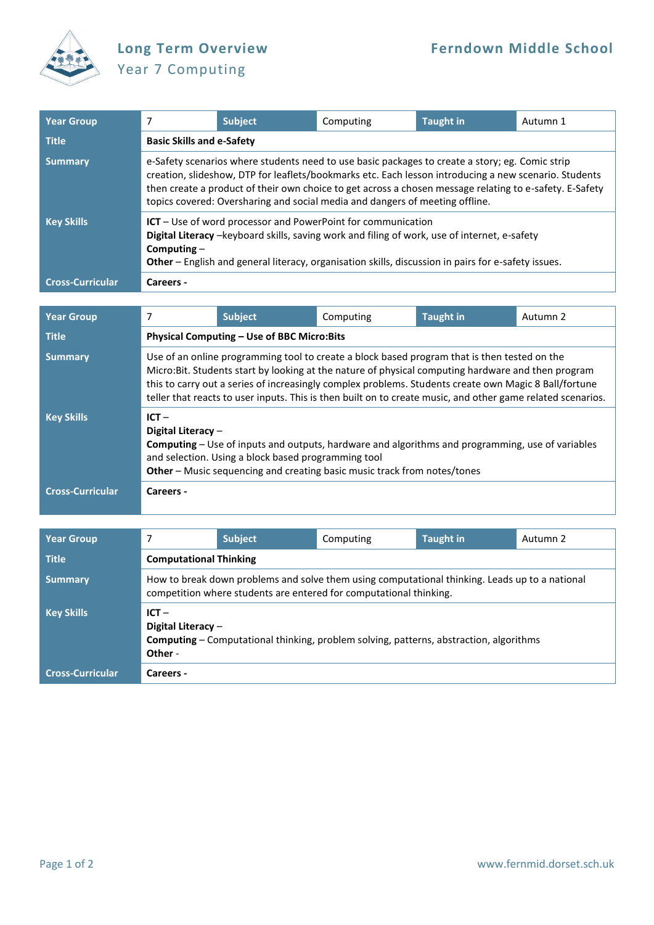

## Year 7 Computing

| <b>Year Group</b>       |                                                                                                                                                                                                                                                                                                                                                                                                     | <b>Subject</b> | Computing | <b>Taught in</b> | Autumn 1 |  |  |
|-------------------------|-----------------------------------------------------------------------------------------------------------------------------------------------------------------------------------------------------------------------------------------------------------------------------------------------------------------------------------------------------------------------------------------------------|----------------|-----------|------------------|----------|--|--|
| <b>Title</b>            | <b>Basic Skills and e-Safety</b>                                                                                                                                                                                                                                                                                                                                                                    |                |           |                  |          |  |  |
| <b>Summary</b>          | e-Safety scenarios where students need to use basic packages to create a story; eg. Comic strip<br>creation, slideshow, DTP for leaflets/bookmarks etc. Each lesson introducing a new scenario. Students<br>then create a product of their own choice to get across a chosen message relating to e-safety. E-Safety<br>topics covered: Oversharing and social media and dangers of meeting offline. |                |           |                  |          |  |  |
| <b>Key Skills</b>       | $ICT - Use of word processor and PowerPoint for communication$<br>Digital Literacy -keyboard skills, saving work and filing of work, use of internet, e-safety<br>Computing $-$<br>Other - English and general literacy, organisation skills, discussion in pairs for e-safety issues.                                                                                                              |                |           |                  |          |  |  |
| <b>Cross-Curricular</b> | Careers -                                                                                                                                                                                                                                                                                                                                                                                           |                |           |                  |          |  |  |

| <b>Year Group</b>       | 7                                                                                                                                                                                                                                                                                                                                                                                                                           | <b>Subject</b> | Computing | <b>Taught in</b> | Autumn 2 |  |
|-------------------------|-----------------------------------------------------------------------------------------------------------------------------------------------------------------------------------------------------------------------------------------------------------------------------------------------------------------------------------------------------------------------------------------------------------------------------|----------------|-----------|------------------|----------|--|
| <b>Title</b>            | Physical Computing - Use of BBC Micro:Bits                                                                                                                                                                                                                                                                                                                                                                                  |                |           |                  |          |  |
| <b>Summary</b>          | Use of an online programming tool to create a block based program that is then tested on the<br>Micro: Bit. Students start by looking at the nature of physical computing hardware and then program<br>this to carry out a series of increasingly complex problems. Students create own Magic 8 Ball/fortune<br>teller that reacts to user inputs. This is then built on to create music, and other game related scenarios. |                |           |                  |          |  |
| <b>Key Skills</b>       | $ICT -$<br>Digital Literacy $-$<br><b>Computing</b> – Use of inputs and outputs, hardware and algorithms and programming, use of variables<br>and selection. Using a block based programming tool<br>Other - Music sequencing and creating basic music track from notes/tones                                                                                                                                               |                |           |                  |          |  |
| <b>Cross-Curricular</b> | Careers -                                                                                                                                                                                                                                                                                                                                                                                                                   |                |           |                  |          |  |
|                         |                                                                                                                                                                                                                                                                                                                                                                                                                             |                |           |                  |          |  |
| <b>Year Group</b>       | 7                                                                                                                                                                                                                                                                                                                                                                                                                           | <b>Subject</b> | Computing | <b>Taught in</b> | Autumn 2 |  |
| <b>Title</b>            | <b>Computational Thinking</b>                                                                                                                                                                                                                                                                                                                                                                                               |                |           |                  |          |  |
| <b>Summary</b>          | How to break down problems and solve them using computational thinking. Leads up to a national<br>competition where students are entered for computational thinking.                                                                                                                                                                                                                                                        |                |           |                  |          |  |
| <b>Key Skills</b>       | $ICT -$<br>Digital Literacy -                                                                                                                                                                                                                                                                                                                                                                                               |                |           |                  |          |  |

**Computing** – Computational thinking, problem solving, patterns, abstraction, algorithms

**Other** -

**Cross-Curricular Careers -**